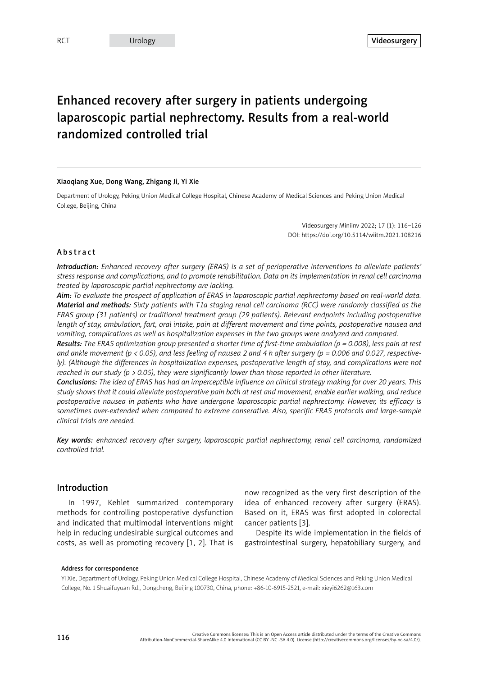# Enhanced recovery after surgery in patients undergoing laparoscopic partial nephrectomy. Results from a real-world randomized controlled trial

#### Xiaoqiang Xue, Dong Wang, Zhigang Ji, Yi Xie

Department of Urology, Peking Union Medical College Hospital, Chinese Academy of Medical Sciences and Peking Union Medical College, Beijing, China

> Videosurgery Miniinv 2022; 17 (1): 116–126 DOI: https://doi.org/10.5114/wiitm.2021.108216

# Abstract

*Introduction: Enhanced recovery after surgery (ERAS) is a set of perioperative interventions to alleviate patients' stress response and complications, and to promote rehabilitation. Data on its implementation in renal cell carcinoma treated by laparoscopic partial nephrectomy are lacking.*

*Aim: To evaluate the prospect of application of ERAS in laparoscopic partial nephrectomy based on real-world data. Material and methods: Sixty patients with T1a staging renal cell carcinoma (RCC) were randomly classified as the ERAS group (31 patients) or traditional treatment group (29 patients). Relevant endpoints including postoperative length of stay, ambulation, fart, oral intake, pain at different movement and time points, postoperative nausea and vomiting, complications as well as hospitalization expenses in the two groups were analyzed and compared.*

*Results: The ERAS optimization group presented a shorter time of first-time ambulation (p = 0.008), less pain at rest and ankle movement (p < 0.05), and less feeling of nausea 2 and 4 h after surgery (p = 0.006 and 0.027, respectively*). (Although the differences in hospitalization expenses, postoperative length of stay, and complications were not *reached in our study (p > 0.05), they were significantly lower than those reported in other literature.*

*Conclusions: The idea of ERAS has had an imperceptible influence on clinical strategy making for over 20 years. This study shows that it could alleviate postoperative pain both at rest and movement, enable earlier walking, and reduce*  postoperative nausea in patients who have undergone laparoscopic partial nephrectomy. However, its efficacy is *sometimes over-extended when compared to extreme conserative. Also, specific ERAS protocols and large-sample clinical trials are needed.*

*Key words: enhanced recovery after surgery, laparoscopic partial nephrectomy, renal cell carcinoma, randomized controlled trial.*

# Introduction

In 1997, Kehlet summarized contemporary methods for controlling postoperative dysfunction and indicated that multimodal interventions might help in reducing undesirable surgical outcomes and costs, as well as promoting recovery [1, 2]. That is

now recognized as the very first description of the idea of enhanced recovery after surgery (ERAS). Based on it, ERAS was first adopted in colorectal cancer patients [3].

Despite its wide implementation in the fields of gastrointestinal surgery, hepatobiliary surgery, and

#### Address for correspondence

Yi Xie, Department of Urology, Peking Union Medical College Hospital, Chinese Academy of Medical Sciences and Peking Union Medical College, No. 1 Shuaifuyuan Rd., Dongcheng, Beijing 100730, China, phone: +86-10-6915-2521, e-mail: xieyi6262@163.com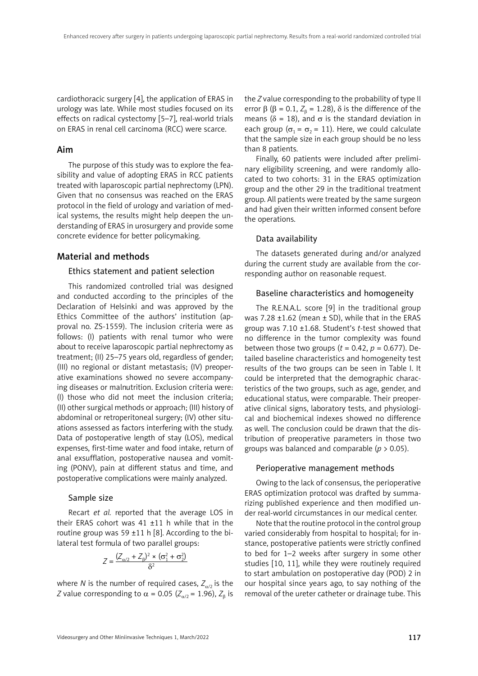cardiothoracic surgery [4], the application of ERAS in urology was late. While most studies focused on its effects on radical cystectomy [5–7], real-world trials on ERAS in renal cell carcinoma (RCC) were scarce.

# Aim

The purpose of this study was to explore the feasibility and value of adopting ERAS in RCC patients treated with laparoscopic partial nephrectomy (LPN). Given that no consensus was reached on the ERAS protocol in the field of urology and variation of medical systems, the results might help deepen the understanding of ERAS in urosurgery and provide some concrete evidence for better policymaking.

# Material and methods

# Ethics statement and patient selection

This randomized controlled trial was designed and conducted according to the principles of the Declaration of Helsinki and was approved by the Ethics Committee of the authors' institution (approval no. ZS-1559). The inclusion criteria were as follows: (I) patients with renal tumor who were about to receive laparoscopic partial nephrectomy as treatment; (II) 25–75 years old, regardless of gender; (III) no regional or distant metastasis; (IV) preoperative examinations showed no severe accompanying diseases or malnutrition. Exclusion criteria were: (I) those who did not meet the inclusion criteria; (II) other surgical methods or approach; (III) history of abdominal or retroperitoneal surgery; (IV) other situations assessed as factors interfering with the study. Data of postoperative length of stay (LOS), medical expenses, first-time water and food intake, return of anal exsufflation, postoperative nausea and vomiting (PONV), pain at different status and time, and postoperative complications were mainly analyzed.

# Sample size

Recart *et al.* reported that the average LOS in their ERAS cohort was  $41 \pm 11$  h while that in the routine group was 59 ±11 h [8]. According to the bilateral test formula of two parallel groups:

$$
Z = \frac{(Z_{\alpha/2} + Z_{\beta})^2 \times (\sigma_1^2 + \sigma_2^2)}{\delta^2}
$$

where *N* is the number of required cases,  $Z_{\alpha/2}$  is the *Z* value corresponding to  $\alpha$  = 0.05 ( $Z_{\alpha/2}$  = 1.96),  $Z_{\beta}$  is the *Z* value corresponding to the probability of type II error  $\beta$  ( $\beta$  = 0.1,  $Z_{\beta}$  = 1.28),  $\delta$  is the difference of the means ( $\delta$  = 18), and  $\sigma$  is the standard deviation in each group ( $\sigma_1 = \sigma_2 = 11$ ). Here, we could calculate that the sample size in each group should be no less than 8 patients.

Finally, 60 patients were included after preliminary eligibility screening, and were randomly allocated to two cohorts: 31 in the ERAS optimization group and the other 29 in the traditional treatment group. All patients were treated by the same surgeon and had given their written informed consent before the operations.

# Data availability

The datasets generated during and/or analyzed during the current study are available from the corresponding author on reasonable request.

# Baseline characteristics and homogeneity

The R.E.N.A.L. score [9] in the traditional group was 7.28  $\pm$ 1.62 (mean  $\pm$  SD), while that in the ERAS group was 7.10 ±1.68. Student's *t*-test showed that no difference in the tumor complexity was found between those two groups ( $t = 0.42$ ,  $p = 0.677$ ). Detailed baseline characteristics and homogeneity test results of the two groups can be seen in Table I. It could be interpreted that the demographic characteristics of the two groups, such as age, gender, and educational status, were comparable. Their preoperative clinical signs, laboratory tests, and physiological and biochemical indexes showed no difference as well. The conclusion could be drawn that the distribution of preoperative parameters in those two groups was balanced and comparable (*p* > 0.05).

# Perioperative management methods

Owing to the lack of consensus, the perioperative ERAS optimization protocol was drafted by summarizing published experience and then modified under real-world circumstances in our medical center.

Note that the routine protocol in the control group varied considerably from hospital to hospital; for instance, postoperative patients were strictly confined to bed for 1–2 weeks after surgery in some other studies [10, 11], while they were routinely required to start ambulation on postoperative day (POD) 2 in our hospital since years ago, to say nothing of the removal of the ureter catheter or drainage tube. This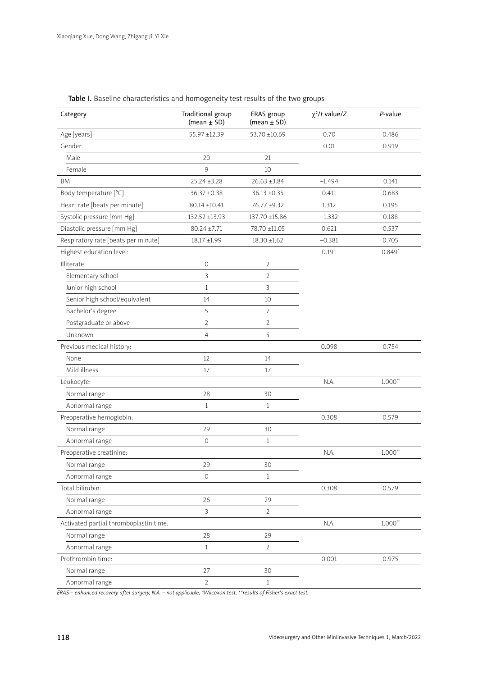| Category                               | Traditional group<br>(mean $\pm$ SD) | ERAS group<br>(mean $\pm$ SD) | $\chi^2/t$ value/Z | $P$ -value   |
|----------------------------------------|--------------------------------------|-------------------------------|--------------------|--------------|
| Age [years]                            | 55.97 ±12.39                         | 53.70 ±10.69                  | 0.70               | 0.486        |
| Gender:                                |                                      |                               | 0.01               | 0.919        |
| Male                                   | 20                                   | 21                            |                    |              |
| Female                                 | 9                                    | 10                            |                    |              |
| <b>BMI</b>                             | $25.24 \pm 3.28$                     | $26.63 \pm 3.84$              | $-1.494$           | 0.141        |
| Body temperature [°C]                  | 36.37 ±0.38                          | $36.13 \pm 0.35$              | 0.411              | 0.683        |
| Heart rate [beats per minute]          | $80.14 \pm 10.41$                    | 76.77 ±9.32                   | 1.312              | 0.195        |
| Systolic pressure [mm Hg]              | 132.52 ±13.93                        | 137.70 ±15.86                 | $-1.332$           | 0.188        |
| Diastolic pressure [mm Hg]             | $80.24 \pm 7.71$                     | 78.70 ±11.05                  | 0.621              | 0.537        |
| Respiratory rate [beats per minute]    | 18.17 ±1.99                          | $18.30 \pm 1.62$              | $-0.381$           | 0.705        |
| Highest education level:               |                                      |                               | 0.191              | $0.849*$     |
| Illiterate:                            | $\circ$                              | $\overline{2}$                |                    |              |
| Elementary school                      | 3                                    | $\overline{2}$                |                    |              |
| Junior high school                     | $\mathbf{1}$                         | 3                             |                    |              |
| Senior high school/equivalent          | 14                                   | 10                            |                    |              |
| Bachelor's degree                      | 5                                    | $\overline{7}$                |                    |              |
| Postgraduate or above                  | $\overline{2}$                       | $\overline{2}$                |                    |              |
| Unknown                                | $\overline{4}$                       | 5                             |                    |              |
| Previous medical history:              |                                      |                               | 0.098              | 0.754        |
| None                                   | 12                                   | 14                            |                    |              |
| Mild illness                           | 17                                   | 17                            |                    |              |
| Leukocyte:                             |                                      |                               | N.A.               | $1.000**$    |
| Normal range                           | 28                                   | 30                            |                    |              |
| Abnormal range                         | $\mathbf{1}$                         | $\mathbf{1}$                  |                    |              |
| Preoperative hemoglobin:               |                                      |                               | 0.308              | 0.579        |
| Normal range                           | 29                                   | 30                            |                    |              |
| Abnormal range                         | $\circ$                              | $\mathbf{1}$                  |                    |              |
| Preoperative creatinine:               |                                      |                               | N.A.               | $1.000**$    |
| Normal range                           | 29                                   | 30                            |                    |              |
| Abnormal range                         | 0                                    | $\mathbf{1}$                  |                    |              |
| Total bilirubin:                       |                                      |                               | 0.308              | 0.579        |
| Normal range                           | 26                                   | 29                            |                    |              |
| Abnormal range                         | $\mathbf{3}$                         | $\overline{2}$                |                    |              |
| Activated partial thromboplastin time: |                                      |                               | N.A.               | $1.000^{**}$ |
| Normal range                           | 28                                   | 29                            |                    |              |
| Abnormal range                         | $\mathbf{1}$                         | $\overline{2}$                |                    |              |
| Prothrombin time:                      |                                      |                               | 0.001              | 0.975        |
| Normal range                           | 27                                   | 30                            |                    |              |
| Abnormal range                         | $\overline{2}$                       | $\mathbf{1}$                  |                    |              |

Table I. Baseline characteristics and homogeneity test results of the two groups

*ERAS – enhanced recovery after surgery, N.A. – not applicable, \*Wilcoxon test, \*\*results of Fisher's exact test.*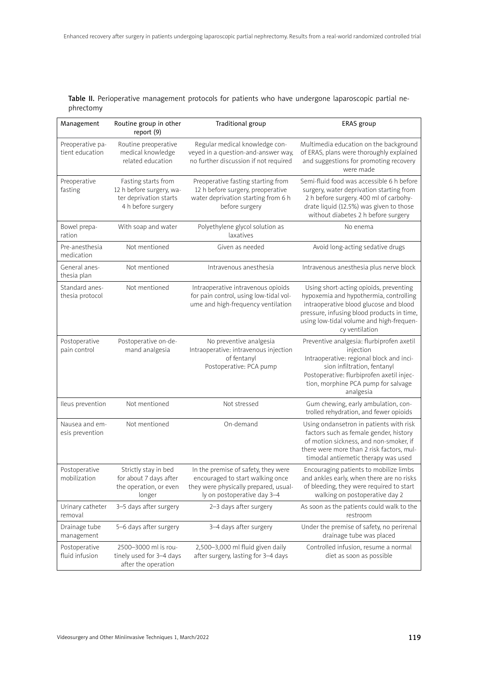|           | Table II. Perioperative management protocols for patients who have undergone laparoscopic partial ne- |  |  |  |  |
|-----------|-------------------------------------------------------------------------------------------------------|--|--|--|--|
| phrectomy |                                                                                                       |  |  |  |  |

| Management                          | Routine group in other<br>report (9)                                                            | Traditional group                                                                                                                               | ERAS group                                                                                                                                                                                                                             |
|-------------------------------------|-------------------------------------------------------------------------------------------------|-------------------------------------------------------------------------------------------------------------------------------------------------|----------------------------------------------------------------------------------------------------------------------------------------------------------------------------------------------------------------------------------------|
| Preoperative pa-<br>tient education | Routine preoperative<br>medical knowledge<br>related education                                  | Regular medical knowledge con-<br>veyed in a question-and-answer way,<br>no further discussion if not required                                  | Multimedia education on the background<br>of ERAS, plans were thoroughly explained<br>and suggestions for promoting recovery<br>were made                                                                                              |
| Preoperative<br>fasting             | Fasting starts from<br>12 h before surgery, wa-<br>ter deprivation starts<br>4 h before surgery | Preoperative fasting starting from<br>12 h before surgery, preoperative<br>water deprivation starting from 6 h<br>before surgery                | Semi-fluid food was accessible 6 h before<br>surgery, water deprivation starting from<br>2 h before surgery. 400 ml of carbohy-<br>drate liquid (12.5%) was given to those<br>without diabetes 2 h before surgery                      |
| Bowel prepa-<br>ration              | With soap and water                                                                             | Polyethylene glycol solution as<br>laxatives                                                                                                    | No enema                                                                                                                                                                                                                               |
| Pre-anesthesia<br>medication        | Not mentioned                                                                                   | Given as needed                                                                                                                                 | Avoid long-acting sedative drugs                                                                                                                                                                                                       |
| General anes-<br>thesia plan        | Not mentioned                                                                                   | Intravenous anesthesia                                                                                                                          | Intravenous anesthesia plus nerve block                                                                                                                                                                                                |
| Standard anes-<br>thesia protocol   | Not mentioned                                                                                   | Intraoperative intravenous opioids<br>for pain control, using low-tidal vol-<br>ume and high-frequency ventilation                              | Using short-acting opioids, preventing<br>hypoxemia and hypothermia, controlling<br>intraoperative blood glucose and blood<br>pressure, infusing blood products in time,<br>using low-tidal volume and high-frequen-<br>cy ventilation |
| Postoperative<br>pain control       | Postoperative on-de-<br>mand analgesia                                                          | No preventive analgesia<br>Intraoperative: intravenous injection<br>of fentanyl<br>Postoperative: PCA pump                                      | Preventive analgesia: flurbiprofen axetil<br>injection<br>Intraoperative: regional block and inci-<br>sion infiltration, fentanyl<br>Postoperative: flurbiprofen axetil injec-<br>tion, morphine PCA pump for salvage<br>analgesia     |
| Ileus prevention                    | Not mentioned                                                                                   | Not stressed                                                                                                                                    | Gum chewing, early ambulation, con-<br>trolled rehydration, and fewer opioids                                                                                                                                                          |
| Nausea and em-<br>esis prevention   | Not mentioned                                                                                   | On-demand                                                                                                                                       | Using ondansetron in patients with risk<br>factors such as female gender, history<br>of motion sickness, and non-smoker, if<br>there were more than 2 risk factors, mul-<br>timodal antiemetic therapy was used                        |
| Postoperative<br>mobilization       | Strictly stay in bed<br>for about 7 days after<br>the operation, or even<br>longer              | In the premise of safety, they were<br>encouraged to start walking once<br>they were physically prepared, usual-<br>ly on postoperative day 3-4 | Encouraging patients to mobilize limbs<br>and ankles early, when there are no risks<br>of bleeding, they were required to start<br>walking on postoperative day 2                                                                      |
| Urinary catheter<br>removal         | 3-5 days after surgery                                                                          | 2–3 days after surgery                                                                                                                          | As soon as the patients could walk to the<br>restroom                                                                                                                                                                                  |
| Drainage tube<br>management         | 5-6 days after surgery                                                                          | 3-4 days after surgery                                                                                                                          | Under the premise of safety, no perirenal<br>drainage tube was placed                                                                                                                                                                  |
| Postoperative<br>fluid infusion     | 2500-3000 ml is rou-<br>tinely used for 3-4 days<br>after the operation                         | 2,500-3,000 ml fluid given daily<br>after surgery, lasting for 3-4 days                                                                         | Controlled infusion, resume a normal<br>diet as soon as possible                                                                                                                                                                       |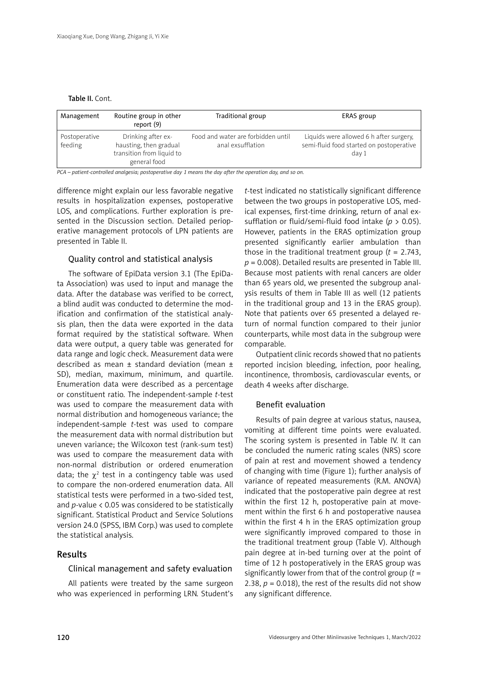#### Table II. Cont.

| Management               | Routine group in other<br>report $(9)$                                                    | Traditional group                                       | ERAS group                                                                                   |
|--------------------------|-------------------------------------------------------------------------------------------|---------------------------------------------------------|----------------------------------------------------------------------------------------------|
| Postoperative<br>feeding | Drinking after ex-<br>hausting, then gradual<br>transition from liquid to<br>general food | Food and water are forbidden until<br>anal exsufflation | Liquids were allowed 6 h after surgery,<br>semi-fluid food started on postoperative<br>day 1 |

*PCA – patient-controlled analgesia; postoperative day 1 means the day after the operation day, and so on.*

difference might explain our less favorable negative results in hospitalization expenses, postoperative LOS, and complications. Further exploration is presented in the Discussion section. Detailed perioperative management protocols of LPN patients are presented in Table II.

# Quality control and statistical analysis

The software of EpiData version 3.1 (The EpiData Association) was used to input and manage the data. After the database was verified to be correct, a blind audit was conducted to determine the modification and confirmation of the statistical analysis plan, then the data were exported in the data format required by the statistical software. When data were output, a query table was generated for data range and logic check. Measurement data were described as mean ± standard deviation (mean ± SD), median, maximum, minimum, and quartile. Enumeration data were described as a percentage or constituent ratio. The independent-sample *t*-test was used to compare the measurement data with normal distribution and homogeneous variance; the independent-sample *t*-test was used to compare the measurement data with normal distribution but uneven variance; the Wilcoxon test (rank-sum test) was used to compare the measurement data with non-normal distribution or ordered enumeration data; the  $\chi^2$  test in a contingency table was used to compare the non-ordered enumeration data. All statistical tests were performed in a two-sided test, and *p*-value < 0.05 was considered to be statistically significant. Statistical Product and Service Solutions version 24.0 (SPSS, IBM Corp.) was used to complete the statistical analysis.

# Results

### Clinical management and safety evaluation

All patients were treated by the same surgeon who was experienced in performing LRN. Student's

*t*-test indicated no statistically significant difference between the two groups in postoperative LOS, medical expenses, first-time drinking, return of anal exsufflation or fluid/semi-fluid food intake (*p* > 0.05). However, patients in the ERAS optimization group presented significantly earlier ambulation than those in the traditional treatment group (*t* = 2.743, *p* = 0.008). Detailed results are presented in Table III. Because most patients with renal cancers are older than 65 years old, we presented the subgroup analysis results of them in Table III as well (12 patients in the traditional group and 13 in the ERAS group). Note that patients over 65 presented a delayed return of normal function compared to their junior counterparts, while most data in the subgroup were comparable.

Outpatient clinic records showed that no patients reported incision bleeding, infection, poor healing, incontinence, thrombosis, cardiovascular events, or death 4 weeks after discharge.

#### Benefit evaluation

Results of pain degree at various status, nausea, vomiting at different time points were evaluated. The scoring system is presented in Table IV. It can be concluded the numeric rating scales (NRS) score of pain at rest and movement showed a tendency of changing with time (Figure 1); further analysis of variance of repeated measurements (R.M. ANOVA) indicated that the postoperative pain degree at rest within the first 12 h, postoperative pain at movement within the first 6 h and postoperative nausea within the first 4 h in the ERAS optimization group were significantly improved compared to those in the traditional treatment group (Table V). Although pain degree at in-bed turning over at the point of time of 12 h postoperatively in the ERAS group was significantly lower from that of the control group (*t* = 2.38,  $p = 0.018$ ), the rest of the results did not show any significant difference.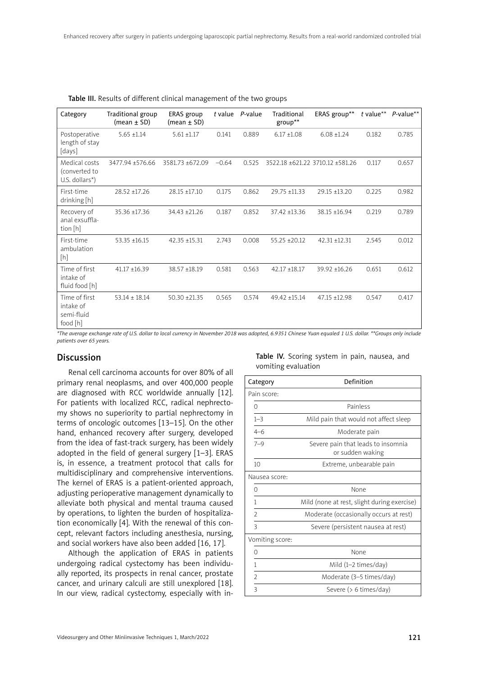| Category                                                                                                                                                                                                                          | Traditional group<br>$(mean \pm SD)$ | ERAS group<br>(mean $\pm$ SD) | t value | P-value | Traditional<br>group** | ERAS group**                    | t value** | $P$ -value** |
|-----------------------------------------------------------------------------------------------------------------------------------------------------------------------------------------------------------------------------------|--------------------------------------|-------------------------------|---------|---------|------------------------|---------------------------------|-----------|--------------|
| Postoperative<br>length of stay<br>[days]                                                                                                                                                                                         | $5.65 \pm 1.14$                      | $5.61 + 1.17$                 | 0.141   | 0.889   | $6.17 \pm 1.08$        | $6.08 \pm 1.24$                 | 0.182     | 0.785        |
| Medical costs<br>(converted to<br>U.S. dollars $*$ )                                                                                                                                                                              | 3477.94 ±576.66                      | 3581.73 ±672.09               | $-0.64$ | 0.525   |                        | 3522.18 ±621.22 3710.12 ±581.26 | 0.117     | 0.657        |
| First-time<br>drinking [h]                                                                                                                                                                                                        | $28.52 \pm 17.26$                    | 28.15 ±17.10                  | 0.175   | 0.862   | 29.75 ±11.33           | 29.15 ±13.20                    | 0.225     | 0.982        |
| Recovery of<br>anal exsuffla-<br>tion [h]                                                                                                                                                                                         | 35.36 ±17.36                         | 34.43 ±21.26                  | 0.187   | 0.852   | 37.42 +13.36           | $38.15 + 16.94$                 | 0.219     | 0.789        |
| First-time<br>ambulation<br>$[h] \centering% \includegraphics[width=1.0\textwidth]{Figures/PN1.png} \caption{The 3D (black) model for the 3D (black) model. The 3D (black) model is shown in Fig.~\ref{fig:10}. } \label{fig:10}$ | 53.35 ±16.15                         | 42.35 ±15.31                  | 2.743   | 0.008   | $55.25 \pm 20.12$      | $42.31 + 12.31$                 | 2.545     | 0.012        |
| Time of first<br>intake of<br>fluid food [h]                                                                                                                                                                                      | $41.17 + 16.39$                      | 38.57 ±18.19                  | 0.581   | 0.563   | $42.17 + 18.17$        | 39.92 +16.26                    | 0.651     | 0.612        |
| Time of first<br>intake of<br>semi-fluid<br>food [h]                                                                                                                                                                              | $53.14 + 18.14$                      | $50.30 + 21.35$               | 0.565   | 0.574   | 49.42 ±15.14           | 47.15 ±12.98                    | 0.547     | 0.417        |

Table III. Results of different clinical management of the two groups

*\*The average exchange rate of U.S. dollar to local currency in November 2018 was adopted, 6.9351 Chinese Yuan equaled 1 U.S. dollar. \*\*Groups only include patients over 65 years.*

# Discussion

Renal cell carcinoma accounts for over 80% of all primary renal neoplasms, and over 400,000 people are diagnosed with RCC worldwide annually [12]. For patients with localized RCC, radical nephrectomy shows no superiority to partial nephrectomy in terms of oncologic outcomes [13–15]. On the other hand, enhanced recovery after surgery, developed from the idea of fast-track surgery, has been widely adopted in the field of general surgery [1–3]. ERAS is, in essence, a treatment protocol that calls for multidisciplinary and comprehensive interventions. The kernel of ERAS is a patient-oriented approach, adjusting perioperative management dynamically to alleviate both physical and mental trauma caused by operations, to lighten the burden of hospitalization economically [4]. With the renewal of this concept, relevant factors including anesthesia, nursing, and social workers have also been added [16, 17].

Although the application of ERAS in patients undergoing radical cystectomy has been individually reported, its prospects in renal cancer, prostate cancer, and urinary calculi are still unexplored [18]. In our view, radical cystectomy, especially with in-

|  |                     |  | Table IV. Scoring system in pain, nausea, and |  |
|--|---------------------|--|-----------------------------------------------|--|
|  | vomiting evaluation |  |                                               |  |

| Category        | Definition                                             |
|-----------------|--------------------------------------------------------|
| Pain score:     |                                                        |
| 0               | Painless                                               |
| $1 - 3$         | Mild pain that would not affect sleep                  |
| $4 - 6$         | Moderate pain                                          |
| $7 - 9$         | Severe pain that leads to insomnia<br>or sudden waking |
| 10              | Extreme, unbearable pain                               |
| Nausea score:   |                                                        |
| 0               | None                                                   |
| 1               | Mild (none at rest, slight during exercise)            |
| $\mathfrak{D}$  | Moderate (occasionally occurs at rest)                 |
| 3               | Severe (persistent nausea at rest)                     |
| Vomiting score: |                                                        |
| 0               | None                                                   |
| 1               | Mild (1-2 times/day)                                   |
| $\mathfrak{D}$  | Moderate (3–5 times/day)                               |
| 3               | Severe $($ > 6 times/day)                              |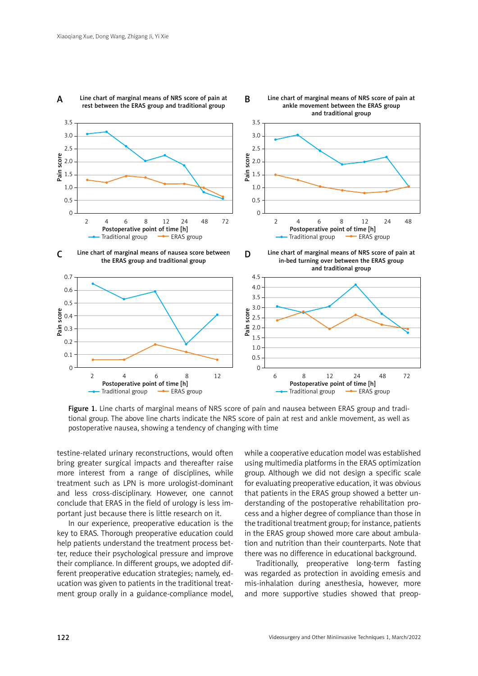

#### A Line chart of marginal means of NRS score of pain at rest between the ERAS group and traditional group

B

Figure 1. Line charts of marginal means of NRS score of pain and nausea between ERAS group and traditional group. The above line charts indicate the NRS score of pain at rest and ankle movement, as well as postoperative nausea, showing a tendency of changing with time

testine-related urinary reconstructions, would often bring greater surgical impacts and thereafter raise more interest from a range of disciplines, while treatment such as LPN is more urologist-dominant and less cross-disciplinary. However, one cannot conclude that ERAS in the field of urology is less important just because there is little research on it.

In our experience, preoperative education is the key to ERAS. Thorough preoperative education could help patients understand the treatment process better, reduce their psychological pressure and improve their compliance. In different groups, we adopted different preoperative education strategies; namely, education was given to patients in the traditional treatment group orally in a guidance-compliance model,

while a cooperative education model was established using multimedia platforms in the ERAS optimization group. Although we did not design a specific scale for evaluating preoperative education, it was obvious that patients in the ERAS group showed a better understanding of the postoperative rehabilitation process and a higher degree of compliance than those in the traditional treatment group; for instance, patients in the ERAS group showed more care about ambulation and nutrition than their counterparts. Note that there was no difference in educational background.

Line chart of marginal means of NRS score of pain at ankle movement between the ERAS group

Traditionally, preoperative long-term fasting was regarded as protection in avoiding emesis and mis-inhalation during anesthesia, however, more and more supportive studies showed that preop-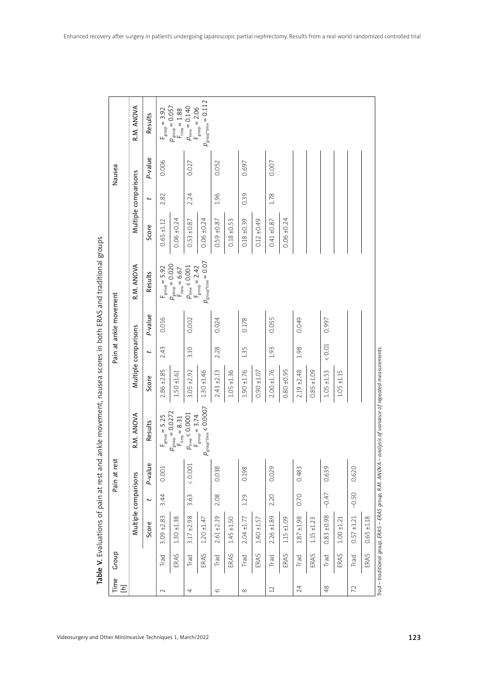| Pain at ankle movement | Multiple comparisons<br>R.M. ANOVA | t<br>Score<br>Results<br>P-value | 2.82<br>$0.65 + 1.12$<br>$F_{\text{group}} = 5.92$<br>0.016 | $0.06 \pm 0.24$<br>$p_{\text{group}} = 0.020$<br>$F_{time} = 6.67$ | 2.24<br>$0.53 + 0.87$<br>$p_{\rm time} < 0.001$<br>0.002 | $0.06 + 0.24$<br>$p_{\rm group^{\star}time}=0.07$<br>$F_{\text{group}} = 2.42$ | 1.96<br>$0.59 \pm 0.87$<br>0.024 | $0.18 \pm 0.53$ | 0.39<br>$0.18 \pm 0.39$<br>0.178 | $0.12 \pm 0.49$ | 1.78<br>$0.41 \pm 0.87$<br>0.055 | $0.06 \pm 0.24$ | 0.049                 |                 | 0.997                    |                 |               |               |
|------------------------|------------------------------------|----------------------------------|-------------------------------------------------------------|--------------------------------------------------------------------|----------------------------------------------------------|--------------------------------------------------------------------------------|----------------------------------|-----------------|----------------------------------|-----------------|----------------------------------|-----------------|-----------------------|-----------------|--------------------------|-----------------|---------------|---------------|
|                        | Multiple comparisons               | t<br>Score                       | 2.43<br>$2.86 \pm 2.85$                                     | $1.50 + 1.61$                                                      | 3.10<br>$3.05 + 2.92$                                    | $1.30 + 1.46$                                                                  | 2.28<br>$2.43 + 2.13$            | $1.05 + 1.36$   | 1.35<br>$1.90 + 1.76$            | $0.90 + 1.07$   | 1.93<br>$2.00 \pm 1.76$          | $0.80 + 0.95$   | 1.98<br>$2.19 + 2.48$ | $0.85 + 1.09$   | $<0.01$<br>$1.05 + 1.53$ | $1.05 + 1.15$   |               |               |
|                        | R.M. ANOVA                         | Results                          | $F_{\text{group}} = 5.25$                                   | $p_{\text{group}} = 0.0272$<br>$F_{time} = 8.31$                   | $p_{\rm time} < 0.0001$                                  | $p_{\rm group*time} < 0.0007$<br>$F_{\text{group}} = 3.74$                     |                                  |                 |                                  |                 |                                  |                 |                       |                 |                          |                 |               |               |
| Pain at rest           |                                    | P-value                          | 0.001                                                       |                                                                    | $< 0.001$                                                |                                                                                | 0.038                            |                 | 0.198                            |                 | 0.029                            |                 | 0.483                 |                 | 0.639                    |                 | 0.620         |               |
|                        |                                    | t                                | 3.44                                                        |                                                                    | 3.63                                                     |                                                                                | 2.08                             |                 | 1.29                             |                 | 2.20                             |                 | 0.70                  |                 | $-0.47$                  |                 | $-0.50$       |               |
|                        | Multiple comparisons               | Score                            | $3.09 + 2.83$                                               | $1.30 + 1.38$                                                      | $3.17 + 2.98$                                            | $1.20 + 1.47$                                                                  | $2.61 + 2.19$                    | $1.45 + 1.50$   | $2.04 + 1.77$                    | $1.40 + 1.57$   | $2.26 + 1.89$                    | ±1.09<br>1.15   | $1.87 \pm 1.98$       | $1.15 \pm 1.23$ | $0.83 \pm 0.98$          | $1.00 \pm 1.21$ | $0.57 + 1.21$ | $0.65 + 1.18$ |
| Group                  |                                    |                                  | Trad                                                        | ERAS                                                               | Trad                                                     | ERAS                                                                           | Trad                             | ERAS            | Trad                             | ERAS            | Trad                             | ERAS            | Trad                  | ERAS            | Trad                     | ERAS            | Trad          | ERAS          |
| Time<br>$\Xi$          |                                    |                                  | $\sim$                                                      |                                                                    | 4                                                        |                                                                                | $\circ$                          |                 | $\infty$                         |                 | $\mathbf{L}$                     |                 | 24                    |                 | $48$                     |                 | 72            |               |

| l<br>١                                                                                                                                                                                                                               |
|--------------------------------------------------------------------------------------------------------------------------------------------------------------------------------------------------------------------------------------|
|                                                                                                                                                                                                                                      |
|                                                                                                                                                                                                                                      |
|                                                                                                                                                                                                                                      |
|                                                                                                                                                                                                                                      |
|                                                                                                                                                                                                                                      |
|                                                                                                                                                                                                                                      |
|                                                                                                                                                                                                                                      |
|                                                                                                                                                                                                                                      |
|                                                                                                                                                                                                                                      |
|                                                                                                                                                                                                                                      |
|                                                                                                                                                                                                                                      |
| <b>SARGET CONTROLLER CONTROLLER CONTROLLER CONTROLLER CONTROLLER CONTROLLER CONTROLLER CONTROLLER CONTROLLER CONTROLLER CONTROLLER CONTROLLER CONTROLLER CONTROLLER CONTROLLER CONTROLLER CONTROLLER CONTROLLER CONTROLLER CONTR</b> |
|                                                                                                                                                                                                                                      |
|                                                                                                                                                                                                                                      |
|                                                                                                                                                                                                                                      |
|                                                                                                                                                                                                                                      |
|                                                                                                                                                                                                                                      |
|                                                                                                                                                                                                                                      |
|                                                                                                                                                                                                                                      |
|                                                                                                                                                                                                                                      |
|                                                                                                                                                                                                                                      |
|                                                                                                                                                                                                                                      |
|                                                                                                                                                                                                                                      |
|                                                                                                                                                                                                                                      |
|                                                                                                                                                                                                                                      |
|                                                                                                                                                                                                                                      |
|                                                                                                                                                                                                                                      |
|                                                                                                                                                                                                                                      |
| -"Intimes of pain af rest and ankle movement nausea scores in both EDAS and traditional<br>www.strate.com/strate.com/strate.com/strate.com/                                                                                          |
|                                                                                                                                                                                                                                      |
|                                                                                                                                                                                                                                      |
|                                                                                                                                                                                                                                      |
|                                                                                                                                                                                                                                      |
|                                                                                                                                                                                                                                      |
|                                                                                                                                                                                                                                      |
|                                                                                                                                                                                                                                      |
|                                                                                                                                                                                                                                      |
|                                                                                                                                                                                                                                      |
| ∠<br><<br>$\vdots$<br>l                                                                                                                                                                                                              |
|                                                                                                                                                                                                                                      |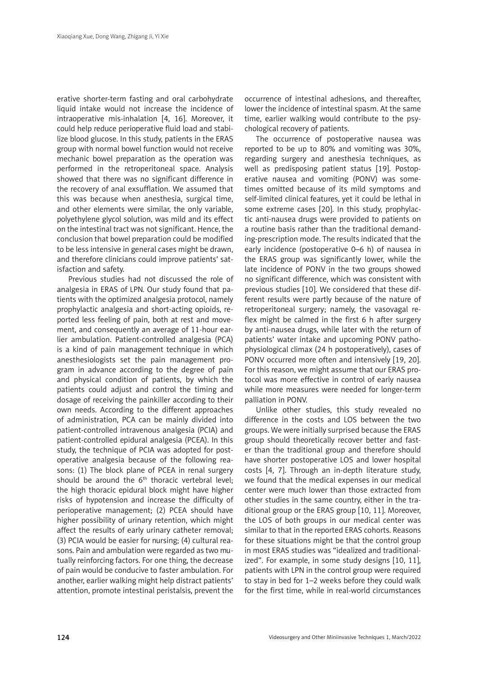erative shorter-term fasting and oral carbohydrate liquid intake would not increase the incidence of intraoperative mis-inhalation [4, 16]. Moreover, it could help reduce perioperative fluid load and stabilize blood glucose. In this study, patients in the ERAS group with normal bowel function would not receive mechanic bowel preparation as the operation was performed in the retroperitoneal space. Analysis showed that there was no significant difference in the recovery of anal exsufflation. We assumed that this was because when anesthesia, surgical time, and other elements were similar, the only variable, polyethylene glycol solution, was mild and its effect on the intestinal tract was not significant. Hence, the conclusion that bowel preparation could be modified to be less intensive in general cases might be drawn, and therefore clinicians could improve patients' satisfaction and safety.

Previous studies had not discussed the role of analgesia in ERAS of LPN. Our study found that patients with the optimized analgesia protocol, namely prophylactic analgesia and short-acting opioids, reported less feeling of pain, both at rest and movement, and consequently an average of 11-hour earlier ambulation. Patient-controlled analgesia (PCA) is a kind of pain management technique in which anesthesiologists set the pain management program in advance according to the degree of pain and physical condition of patients, by which the patients could adjust and control the timing and dosage of receiving the painkiller according to their own needs. According to the different approaches of administration, PCA can be mainly divided into patient-controlled intravenous analgesia (PCIA) and patient-controlled epidural analgesia (PCEA). In this study, the technique of PCIA was adopted for postoperative analgesia because of the following reasons: (1) The block plane of PCEA in renal surgery should be around the  $6<sup>th</sup>$  thoracic vertebral level; the high thoracic epidural block might have higher risks of hypotension and increase the difficulty of perioperative management; (2) PCEA should have higher possibility of urinary retention, which might affect the results of early urinary catheter removal; (3) PCIA would be easier for nursing; (4) cultural reasons. Pain and ambulation were regarded as two mutually reinforcing factors. For one thing, the decrease of pain would be conducive to faster ambulation. For another, earlier walking might help distract patients' attention, promote intestinal peristalsis, prevent the

occurrence of intestinal adhesions, and thereafter, lower the incidence of intestinal spasm. At the same time, earlier walking would contribute to the psychological recovery of patients.

The occurrence of postoperative nausea was reported to be up to 80% and vomiting was 30%, regarding surgery and anesthesia techniques, as well as predisposing patient status [19]. Postoperative nausea and vomiting (PONV) was sometimes omitted because of its mild symptoms and self-limited clinical features, yet it could be lethal in some extreme cases [20]. In this study, prophylactic anti-nausea drugs were provided to patients on a routine basis rather than the traditional demanding-prescription mode. The results indicated that the early incidence (postoperative 0–6 h) of nausea in the ERAS group was significantly lower, while the late incidence of PONV in the two groups showed no significant difference, which was consistent with previous studies [10]. We considered that these different results were partly because of the nature of retroperitoneal surgery; namely, the vasovagal reflex might be calmed in the first 6 h after surgery by anti-nausea drugs, while later with the return of patients' water intake and upcoming PONV pathophysiological climax (24 h postoperatively), cases of PONV occurred more often and intensively [19, 20]. For this reason, we might assume that our ERAS protocol was more effective in control of early nausea while more measures were needed for longer-term palliation in PONV.

Unlike other studies, this study revealed no difference in the costs and LOS between the two groups. We were initially surprised because the ERAS group should theoretically recover better and faster than the traditional group and therefore should have shorter postoperative LOS and lower hospital costs [4, 7]. Through an in-depth literature study, we found that the medical expenses in our medical center were much lower than those extracted from other studies in the same country, either in the traditional group or the ERAS group [10, 11]. Moreover, the LOS of both groups in our medical center was similar to that in the reported ERAS cohorts. Reasons for these situations might be that the control group in most ERAS studies was "idealized and traditionalized". For example, in some study designs [10, 11], patients with LPN in the control group were required to stay in bed for 1–2 weeks before they could walk for the first time, while in real-world circumstances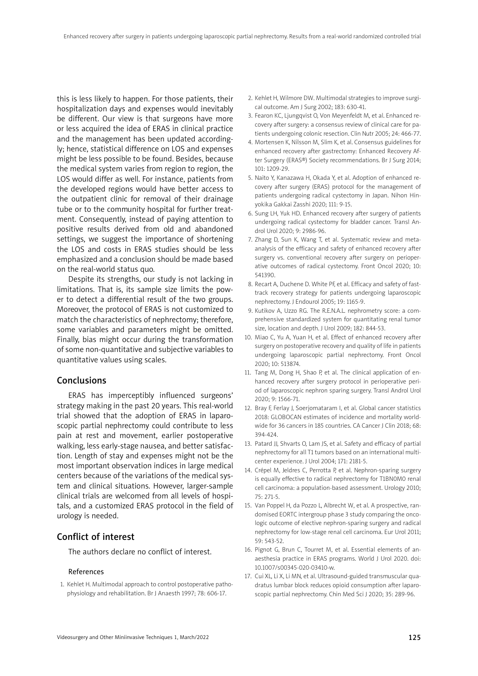this is less likely to happen. For those patients, their hospitalization days and expenses would inevitably be different. Our view is that surgeons have more or less acquired the idea of ERAS in clinical practice and the management has been updated accordingly; hence, statistical difference on LOS and expenses might be less possible to be found. Besides, because the medical system varies from region to region, the LOS would differ as well. For instance, patients from the developed regions would have better access to the outpatient clinic for removal of their drainage tube or to the community hospital for further treatment. Consequently, instead of paying attention to positive results derived from old and abandoned settings, we suggest the importance of shortening the LOS and costs in ERAS studies should be less emphasized and a conclusion should be made based on the real-world status quo.

Despite its strengths, our study is not lacking in limitations. That is, its sample size limits the power to detect a differential result of the two groups. Moreover, the protocol of ERAS is not customized to match the characteristics of nephrectomy; therefore, some variables and parameters might be omitted. Finally, bias might occur during the transformation of some non-quantitative and subjective variables to quantitative values using scales.

# Conclusions

ERAS has imperceptibly influenced surgeons' strategy making in the past 20 years. This real-world trial showed that the adoption of ERAS in laparoscopic partial nephrectomy could contribute to less pain at rest and movement, earlier postoperative walking, less early-stage nausea, and better satisfaction. Length of stay and expenses might not be the most important observation indices in large medical centers because of the variations of the medical system and clinical situations. However, larger-sample clinical trials are welcomed from all levels of hospitals, and a customized ERAS protocol in the field of urology is needed.

# Conflict of interest

The authors declare no conflict of interest.

#### References

1. Kehlet H. Multimodal approach to control postoperative pathophysiology and rehabilitation. Br J Anaesth 1997; 78: 606-17.

- 2. Kehlet H, Wilmore DW. Multimodal strategies to improve surgical outcome. Am J Surg 2002; 183: 630-41.
- 3. Fearon KC, Ljungqvist O, Von Meyenfeldt M, et al. Enhanced recovery after surgery: a consensus review of clinical care for patients undergoing colonic resection. Clin Nutr 2005; 24: 466-77.
- 4. Mortensen K, Nilsson M, Slim K, et al. Consensus guidelines for enhanced recovery after gastrectomy: Enhanced Recovery After Surgery (ERAS®) Society recommendations. Br J Surg 2014; 101: 1209-29.
- 5. Naito Y, Kanazawa H, Okada Y, et al. Adoption of enhanced recovery after surgery (ERAS) protocol for the management of patients undergoing radical cystectomy in Japan. Nihon Hinyokika Gakkai Zasshi 2020; 111: 9-15.
- 6. Sung LH, Yuk HD. Enhanced recovery after surgery of patients undergoing radical cystectomy for bladder cancer. Transl Androl Urol 2020; 9: 2986-96.
- 7. Zhang D, Sun K, Wang T, et al. Systematic review and metaanalysis of the efficacy and safety of enhanced recovery after surgery vs. conventional recovery after surgery on perioperative outcomes of radical cystectomy. Front Oncol 2020; 10: 541390.
- 8. Recart A, Duchene D. White PF, et al. Efficacy and safety of fasttrack recovery strategy for patients undergoing laparoscopic nephrectomy. J Endourol 2005; 19: 1165-9.
- 9. Kutikov A, Uzzo RG. The R.E.N.A.L. nephrometry score: a comprehensive standardized system for quantitating renal tumor size, location and depth. J Urol 2009; 182: 844-53.
- 10. Miao C, Yu A, Yuan H, et al. Effect of enhanced recovery after surgery on postoperative recovery and quality of life in patients undergoing laparoscopic partial nephrectomy. Front Oncol 2020; 10: 513874.
- 11. Tang M, Dong H, Shao P, et al. The clinical application of enhanced recovery after surgery protocol in perioperative period of laparoscopic nephron sparing surgery. Transl Androl Urol 2020; 9: 1566-71.
- 12. Bray F, Ferlay J, Soerjomataram I, et al. Global cancer statistics 2018: GLOBOCAN estimates of incidence and mortality worldwide for 36 cancers in 185 countries. CA Cancer J Clin 2018; 68: 394-424.
- 13. Patard JJ, Shvarts O, Lam JS, et al. Safety and efficacy of partial nephrectomy for all T1 tumors based on an international multicenter experience. J Urol 2004; 171: 2181-5.
- 14. Crépel M, Jeldres C, Perrotta P, et al. Nephron-sparing surgery is equally effective to radical nephrectomy for T1BN0M0 renal cell carcinoma: a population-based assessment. Urology 2010; 75: 271-5.
- 15. Van Poppel H, da Pozzo L, Albrecht W, et al. A prospective, randomised EORTC intergroup phase 3 study comparing the oncologic outcome of elective nephron-sparing surgery and radical nephrectomy for low-stage renal cell carcinoma. Eur Urol 2011; 59: 543-52.
- 16. Pignot G, Brun C, Tourret M, et al. Essential elements of anaesthesia practice in ERAS programs. World J Urol 2020. doi: 10.1007/s00345-020-03410-w.
- 17. Cui XL, Li X, Li MN, et al. Ultrasound-guided transmuscular quadratus lumbar block reduces opioid consumption after laparoscopic partial nephrectomy. Chin Med Sci J 2020; 35: 289-96.